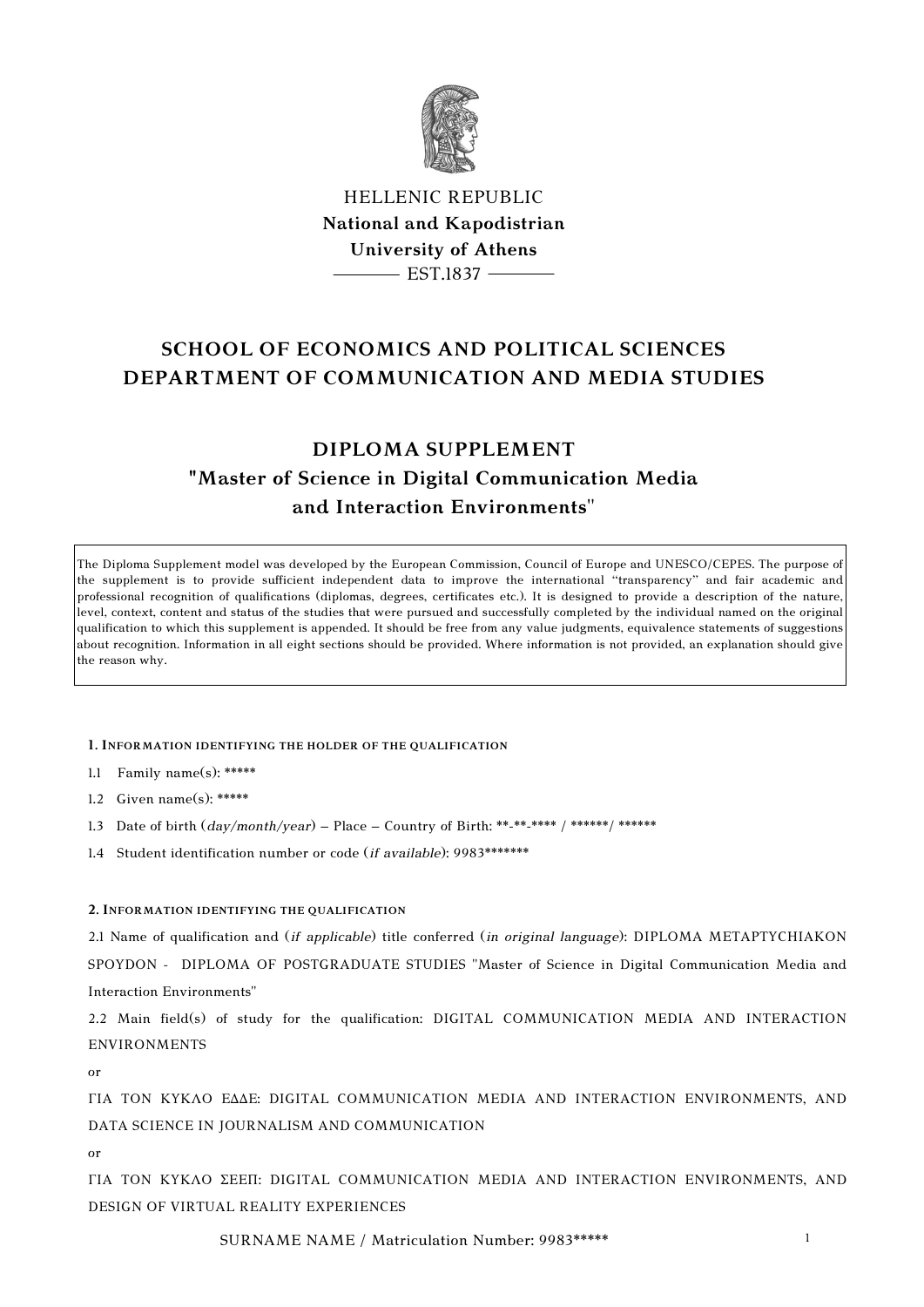

HELLENIC REPUBLIC **National and Kapodistrian University of Athens**  $-$  EST.1837  $-$ 

# **SCHOOL OF ECONOMICS AND POLITICAL SCIENCES DEPARTMENT OF COMMUNICATION AND MEDIA STUDIES**

# **DIPLOMA SUPPLEMENT "Master of Science in Digital Communication Media and Interaction Environments**"

The Diploma Supplement model was developed by the European Commission, Council of Europe and UNESCO/CEPES. The purpose of the supplement is to provide sufficient independent data to improve the international "transparency" and fair academic and professional recognition of qualifications (diplomas, degrees, certificates etc.). It is designed to provide a description of the nature, level, context, content and status of the studies that were pursued and successfully completed by the individual named on the original qualification to which this supplement is appended. It should be free from any value judgments, equivalence statements of suggestions about recognition. Information in all eight sections should be provided. Where information is not provided, an explanation should give the reason why.

#### **1. INFORMATION IDENTIFYING THE HOLDER OF THE QUALIFICATION**

- 1.1 Family name(s): \*\*\*\*\*
- 1.2 Given name(s): \*\*\*\*\*
- 1.3 Date of birth (*day/month/year*) Place Country of Birth: \*\*-\*\*-\*\*\* / \*\*\*\*\*\*/ \*\*\*\*\*\*
- 1.4 Student identification number or code (*if available*): 9983\*\*\*\*\*\*\*

### **2. INFORMATION IDENTIFYING THE QUALIFICATION**

2.1 Name of qualification and (*if applicable*) title conferred (*in original language*): DIPLOMA ΜΕΤΑPTYCHIAKOΝ SPOYDON - DIPLOMA OF POSTGRADUATE STUDIES "Master of Science in Digital Communication Media and Interaction Environments"

2.2 Main field(s) of study for the qualification: DIGITAL COMMUNICATION MEDIA AND INTERACTION ENVIRONMENTS

or

ΓΙΑ ΤΟΝ ΚΥΚΛΟ ΕΔΔΕ: DIGITAL COMMUNICATION MEDIA AND INTERACTION ENVIRONMENTS, AND DATA SCIENCE IN JOURNALISM AND COMMUNICATION

or

ΓΙΑ ΤΟΝ ΚΥΚΛΟ ΣΕΕΠ: DIGITAL COMMUNICATION MEDIA AND INTERACTION ENVIRONMENTS, AND DESIGN OF VIRTUAL REALITY EXPERIENCES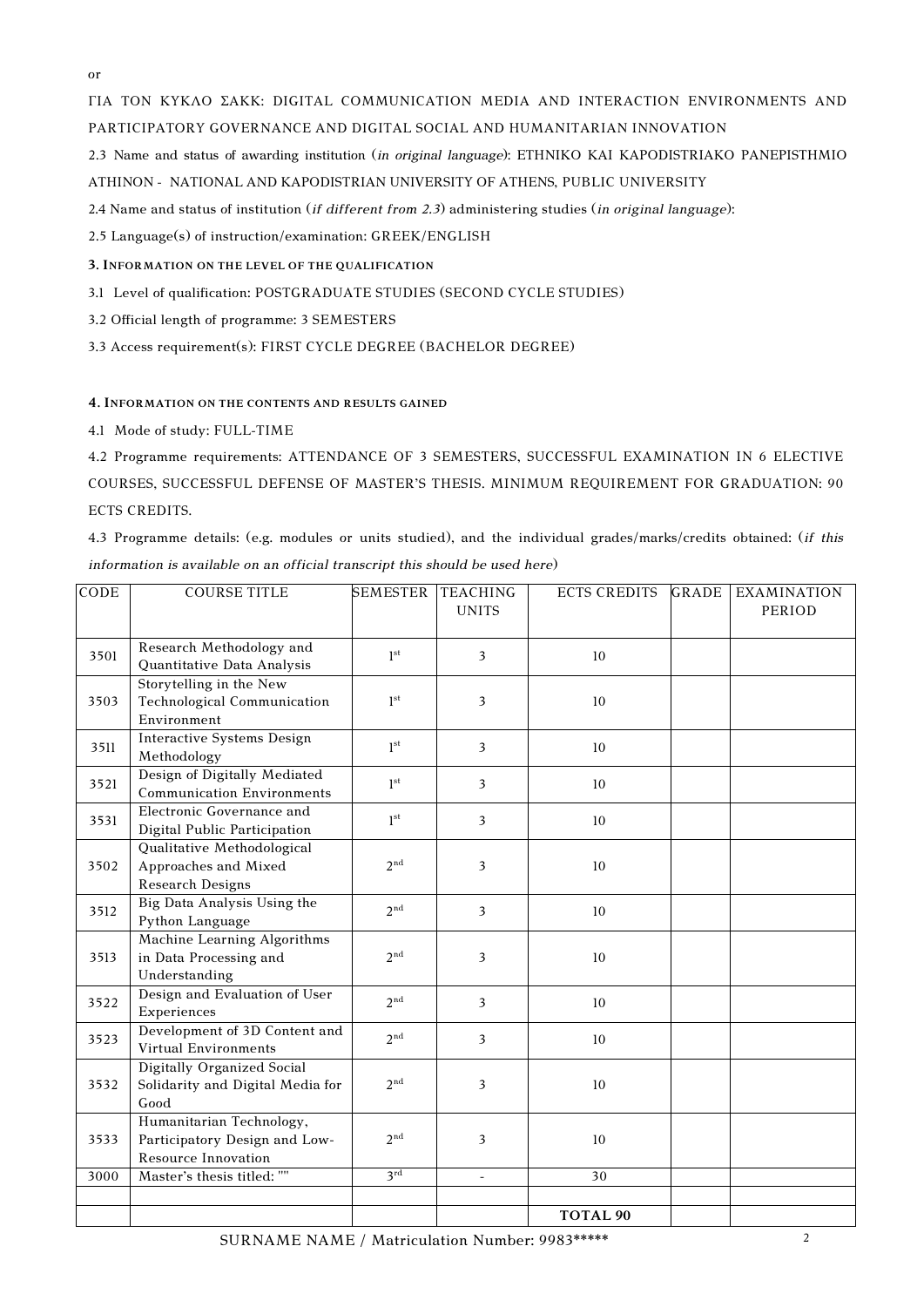or

ΓΙΑ ΤΟΝ ΚΥΚΛΟ ΣΑΚΚ: DIGITAL COMMUNICATION MEDIA AND INTERACTION ENVIRONMENTS AND PARTICIPATORY GOVERNANCE AND DIGITAL SOCIAL AND HUMANITARIAN INNOVATION

2.3 Name and status of awarding institution (*in original language*): ETHNIKO KAI KAPODISTRIAKO PANEPISTHMIO

ATHINON - NATIONAL AND KAPODISTRIAN UNIVERSITY OF ATHENS, PUBLIC UNIVERSITY

2.4 Name and status of institution (*if different from 2.3*) administering studies (*in original language*):

2.5 Language(s) of instruction/examination: GREEK/ENGLISH

**3. INFORMATION ON THE LEVEL OF THE QUALIFICATION**

3.1 Level of qualification: POSTGRADUATE STUDIES (SECOND CYCLE STUDIES)

3.2 Official length of programme: 3 SEMESTERS

3.3 Access requirement(s): FIRST CYCLE DEGREE (BACHELOR DEGREE)

## **4. INFORMATION ON THE CONTENTS AND RESULTS GAINED**

4.1Mode of study: FULL-TIME

4.2 Programme requirements: ATTENDANCE OF 3 SEMESTERS, SUCCESSFUL EXAMINATION IN 6 ELECTIVE COURSES, SUCCESSFUL DEFENSE OF MASTER'S THESIS. MINIMUM REQUIREMENT FOR GRADUATION: 90 ECTS CREDITS.

4.3 Programme details: (e.g. modules or units studied), and the individual grades/marks/credits obtained: (*if this information is available on an official transcript this should be used here*)

| <b>CODE</b> | <b>COURSE TITLE</b>                                                                     | <b>SEMESTER</b> | <b>TEACHING</b><br><b>UNITS</b> | <b>ECTS CREDITS</b> | <b>GRADE</b> | <b>EXAMINATION</b><br>PERIOD |
|-------------|-----------------------------------------------------------------------------------------|-----------------|---------------------------------|---------------------|--------------|------------------------------|
| 3501        | Research Methodology and<br>Quantitative Data Analysis                                  | 1 <sup>st</sup> | $\overline{\mathbf{3}}$         | 10                  |              |                              |
| 3503        | Storytelling in the New<br><b>Technological Communication</b><br>Environment            | 1 <sup>st</sup> | 3                               | 10                  |              |                              |
| 3511        | <b>Interactive Systems Design</b><br>Methodology                                        | 1 <sup>st</sup> | 3                               | 10                  |              |                              |
| 3521        | Design of Digitally Mediated<br><b>Communication Environments</b>                       | 1 <sup>st</sup> | 3                               | 10                  |              |                              |
| 3531        | Electronic Governance and<br>Digital Public Participation                               | 1 <sup>st</sup> | 3                               | 10                  |              |                              |
| 3502        | Qualitative Methodological<br>Approaches and Mixed<br><b>Research Designs</b>           | 2 <sub>nd</sub> | 3                               | 10                  |              |                              |
| 3512        | Big Data Analysis Using the<br>Python Language                                          | 2 <sub>nd</sub> | 3                               | 10                  |              |                              |
| 3513        | Machine Learning Algorithms<br>in Data Processing and<br>Understanding                  | 2 <sub>nd</sub> | 3                               | 10                  |              |                              |
| 3522        | Design and Evaluation of User<br>Experiences                                            | 2 <sub>nd</sub> | 3                               | 10                  |              |                              |
| 3523        | Development of 3D Content and<br><b>Virtual Environments</b>                            | 2 <sub>nd</sub> | 3                               | 10                  |              |                              |
| 3532        | Digitally Organized Social<br>Solidarity and Digital Media for<br>Good                  | 2 <sup>nd</sup> | 3                               | 10                  |              |                              |
| 3533        | Humanitarian Technology,<br>Participatory Design and Low-<br><b>Resource Innovation</b> | 2 <sup>nd</sup> | 3                               | 10                  |              |                              |
| 3000        | Master's thesis titled: ""                                                              | $3^{\text{rd}}$ | $\overline{\phantom{a}}$        | 30                  |              |                              |
|             |                                                                                         |                 |                                 | <b>TOTAL 90</b>     |              |                              |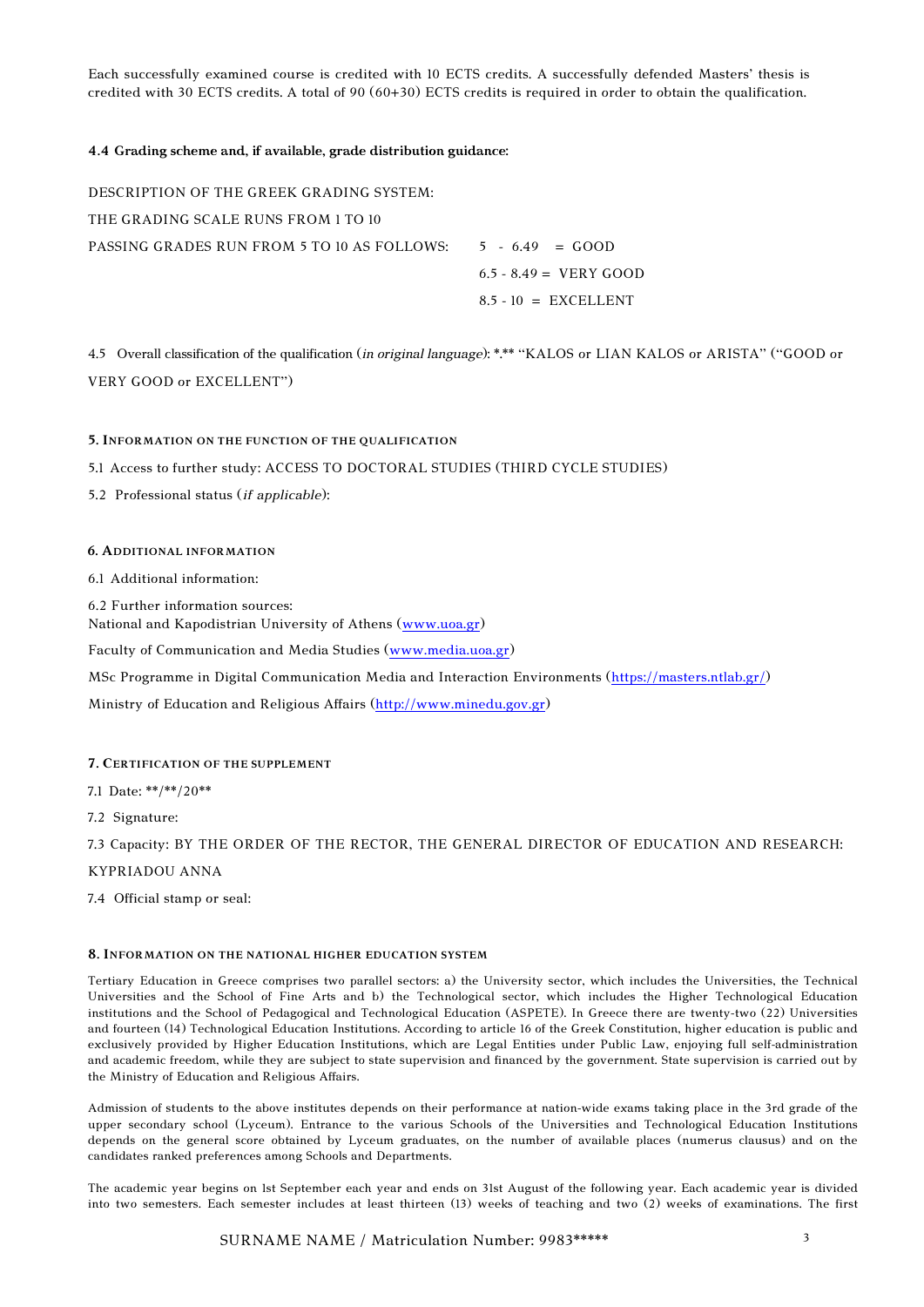Each successfully examined course is credited with 10 ECTS credits. A successfully defended Masters' thesis is credited with 30 ECTS credits. A total of 90 (60+30) ECTS credits is required in order to obtain the qualification.

#### **4.4 Grading scheme and, if available, grade distribution guidance:**

DESCRIPTION OF THE GREEK GRADING SYSTEM: THE GRADING SCALE RUNS FROM 1 TO 10 PASSING GRADES RUN FROM 5 TO 10 AS FOLLOWS:  $5 - 6.49 = GOOD$  $6.5 - 8.49 = VERT GOOD$  $8.5 - 10 = EXCELLENT$ 

4.5 Overall classification of the qualification (*in original language*): \*.\*\* "KALOS or LIAN KALOS or ARISTA" ("GOOD or VERY GOOD or EXCELLENT")

#### **5. INFORMATION ON THE FUNCTION OF THE QUALIFICATION**

5.1 Access to further study: ACCESS TO DOCTORAL STUDIES (THIRD CYCLE STUDIES)

5.2 Professional status (*if applicable*):

### **6. ADDITIONAL INFORMATION**

6.1Additional information:

6.2 Further information sources:

National and Kapodistrian University of Athens [\(www.uoa.gr\)](http://www.uoa.gr/)

Faculty of Communication and Media Studies [\(www.media.uoa.gr\)](http://www.media.uoa.gr/)

MSc Programme in Digital Communication Media and Interaction Environments [\(https://masters.ntlab.gr/\)](https://masters.ntlab.gr/)

Ministry of Education and Religious Affairs [\(http://www.minedu.gov.gr\)](http://www.minedu.gov.gr/)

#### **7. CERTIFICATION OF THE SUPPLEMENT**

7.1 Date: \*\*/\*\*/20\*\*

7.2 Signature:

7.3 Capacity: BY THE ORDER OF THE RECTOR, THE GENERAL DIRECTOR OF EDUCATION AND RESEARCH:

KYPRIADOU ANNA

7.4 Official stamp or seal:

#### **8. INFORMATION ON THE NATIONAL HIGHER EDUCATION SYSTEM**

Tertiary Education in Greece comprises two parallel sectors: a) the University sector, which includes the Universities, the Technical Universities and the School of Fine Arts and b) the Technological sector, which includes the Higher Technological Education institutions and the School of Pedagogical and Technological Education (ASPETE). In Greece there are twenty-two (22) Universities and fourteen (14) Technological Education Institutions. According to article 16 of the Greek Constitution, higher education is public and exclusively provided by Higher Education Institutions, which are Legal Entities under Public Law, enjoying full self-administration and academic freedom, while they are subject to state supervision and financed by the government. State supervision is carried out by the Ministry of Education and Religious Affairs.

Admission of students to the above institutes depends on their performance at nation-wide exams taking place in the 3rd grade of the upper secondary school (Lyceum). Entrance to the various Schools of the Universities and Technological Education Institutions depends on the general score obtained by Lyceum graduates, on the number of available places (numerus clausus) and on the candidates ranked preferences among Schools and Departments.

The academic year begins on 1st September each year and ends on 31st August of the following year. Each academic year is divided into two semesters. Each semester includes at least thirteen (13) weeks of teaching and two (2) weeks of examinations. The first